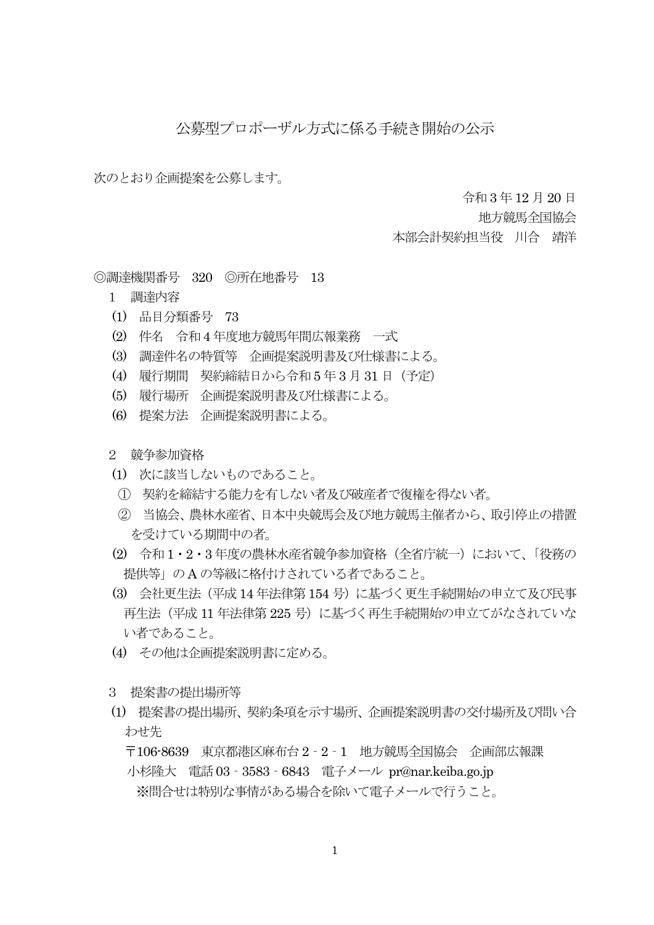## 公募型プロポーザル方式に係る手続き開始の公示

次のとおり企画提案を公募します。

令和3 年12 月 20 日

地方競馬全国協会

本部会計契約担当役 川合 靖洋

◎調達機関番号 320 ◎所在地番号 13

- 1 調達内容
- (1) 品目分類番号 73
- (2) 件名 令和4 年度地方競馬年間広報業務 一式
- (3) 調達件名の特質等 企画提案説明書及び仕様書による。
- (4) 履行期間 契約締結日から令和5 年3 月 31 日(予定)
- (5) 履行場所 企画提案説明書及び仕様書による。
- (6) 提案方法 企画提案説明書による。
- 2 競争参加資格
- (1) 次に該当しないものであること。
- ① 契約を締結する能力を有しない者及び破産者で復権を得ない者。
- ② 当協会、農林水産省、日本中央競馬会及び地方競馬主催者から、取引停止の措置 を受けている期間中の者。
- (2) 令和 1・2・3 年度の農林水産省競争参加資格(全省庁統一)において、「役務の 提供等」のA の等級に格付けされている者であること。
- (3) 会社更生法(平成 14 年法律第 154 号)に基づく更生手続開始の申立て及び民事 再生法(平成 11 年法律第 225 号)に基づく再生手続開始の申立てがなされていな い者であること。
- (4) その他は企画提案説明書に定める。
- 3 提案書の提出場所等
- (1) 提案書の提出場所、契約条項を示す場所、企画提案説明書の交付場所及び問い合 わせ先

〒106-8639 東京都港区麻布台 2‐2‐1 地方競馬全国協会 企画部広報課

小杉隆大 電話 03‐3583‐6843 電子メール pr@nar.keiba.go.jp ※問合せは特別な事情がある場合を除いて電子メールで行うこと。